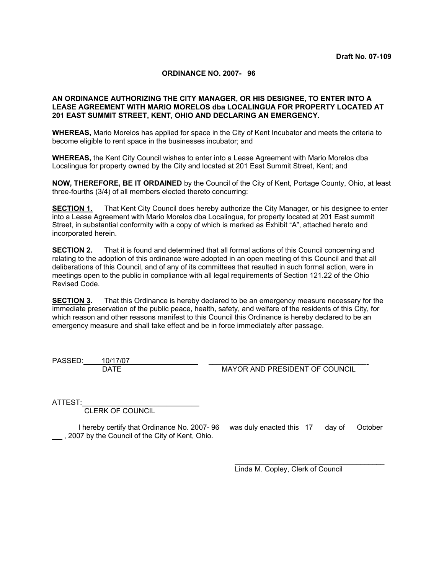**ORDINANCE NO. 2007- 96** 

### **AN ORDINANCE AUTHORIZING THE CITY MANAGER, OR HIS DESIGNEE, TO ENTER INTO A LEASE AGREEMENT WITH MARIO MORELOS dba LOCALINGUA FOR PROPERTY LOCATED AT 201 EAST SUMMIT STREET, KENT, OHIO AND DECLARING AN EMERGENCY.**

**WHEREAS,** Mario Morelos has applied for space in the City of Kent Incubator and meets the criteria to become eligible to rent space in the businesses incubator; and

**WHEREAS,** the Kent City Council wishes to enter into a Lease Agreement with Mario Morelos dba Localingua for property owned by the City and located at 201 East Summit Street, Kent; and

**NOW, THEREFORE, BE IT ORDAINED** by the Council of the City of Kent, Portage County, Ohio, at least three-fourths (3/4) of all members elected thereto concurring:

**SECTION 1.** That Kent City Council does hereby authorize the City Manager, or his designee to enter into a Lease Agreement with Mario Morelos dba Localingua, for property located at 201 East summit Street, in substantial conformity with a copy of which is marked as Exhibit "A", attached hereto and incorporated herein.

**SECTION 2.** That it is found and determined that all formal actions of this Council concerning and relating to the adoption of this ordinance were adopted in an open meeting of this Council and that all deliberations of this Council, and of any of its committees that resulted in such formal action, were in meetings open to the public in compliance with all legal requirements of Section 121.22 of the Ohio Revised Code.

**SECTION 3.** That this Ordinance is hereby declared to be an emergency measure necessary for the immediate preservation of the public peace, health, safety, and welfare of the residents of this City, for which reason and other reasons manifest to this Council this Ordinance is hereby declared to be an emergency measure and shall take effect and be in force immediately after passage.

PASSED:  $10/17/07$ 

DATE MAYOR AND PRESIDENT OF COUNCIL

ATTEST:

CLERK OF COUNCIL

I hereby certify that Ordinance No. 2007- 96 was duly enacted this 17 day of October , 2007 by the Council of the City of Kent, Ohio.

Linda M. Copley, Clerk of Council

\_\_\_\_\_\_\_\_\_\_\_\_\_\_\_\_\_\_\_\_\_\_\_\_\_\_\_\_\_\_\_\_\_\_\_\_\_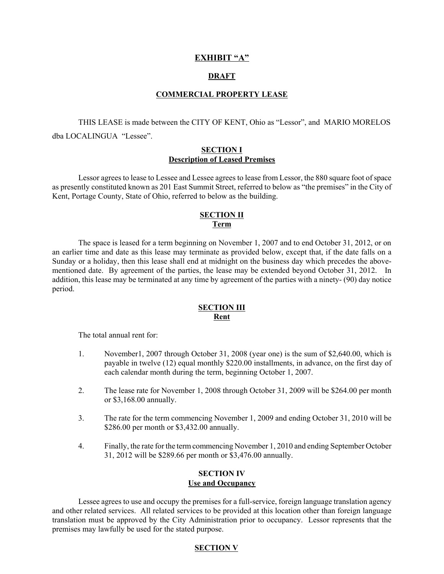# **EXHIBIT "A"**

# **DRAFT**

#### **COMMERCIAL PROPERTY LEASE**

THIS LEASE is made between the CITY OF KENT, Ohio as "Lessor", and MARIO MORELOS dba LOCALINGUA "Lessee".

### **SECTION I Description of Leased Premises**

Lessor agrees to lease to Lessee and Lessee agrees to lease from Lessor, the 880 square foot of space as presently constituted known as 201 East Summit Street, referred to below as "the premises" in the City of Kent, Portage County, State of Ohio, referred to below as the building.

# **SECTION II Term**

The space is leased for a term beginning on November 1, 2007 and to end October 31, 2012, or on an earlier time and date as this lease may terminate as provided below, except that, if the date falls on a Sunday or a holiday, then this lease shall end at midnight on the business day which precedes the abovementioned date. By agreement of the parties, the lease may be extended beyond October 31, 2012. In addition, this lease may be terminated at any time by agreement of the parties with a ninety- (90) day notice period.

## **SECTION III Rent**

The total annual rent for:

- 1. November1, 2007 through October 31, 2008 (year one) is the sum of \$2,640.00, which is payable in twelve (12) equal monthly \$220.00 installments, in advance, on the first day of each calendar month during the term, beginning October 1, 2007.
- 2. The lease rate for November 1, 2008 through October 31, 2009 will be \$264.00 per month or \$3,168.00 annually.
- 3. The rate for the term commencing November 1, 2009 and ending October 31, 2010 will be \$286.00 per month or \$3,432.00 annually.
- 4. Finally, the rate for the term commencing November 1, 2010 and ending September October 31, 2012 will be \$289.66 per month or \$3,476.00 annually.

# **SECTION IV**

# **Use and Occupancy**

Lessee agrees to use and occupy the premises for a full-service, foreign language translation agency and other related services. All related services to be provided at this location other than foreign language translation must be approved by the City Administration prior to occupancy. Lessor represents that the premises may lawfully be used for the stated purpose.

# **SECTION V**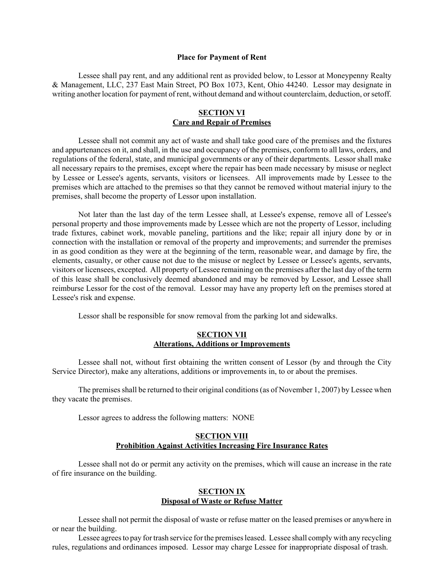#### **Place for Payment of Rent**

Lessee shall pay rent, and any additional rent as provided below, to Lessor at Moneypenny Realty & Management, LLC, 237 East Main Street, PO Box 1073, Kent, Ohio 44240. Lessor may designate in writing another location for payment of rent, without demand and without counterclaim, deduction, or setoff.

# **SECTION VI Care and Repair of Premises**

Lessee shall not commit any act of waste and shall take good care of the premises and the fixtures and appurtenances on it, and shall, in the use and occupancy of the premises, conform to all laws, orders, and regulations of the federal, state, and municipal governments or any of their departments. Lessor shall make all necessary repairs to the premises, except where the repair has been made necessary by misuse or neglect by Lessee or Lessee's agents, servants, visitors or licensees. All improvements made by Lessee to the premises which are attached to the premises so that they cannot be removed without material injury to the premises, shall become the property of Lessor upon installation.

Not later than the last day of the term Lessee shall, at Lessee's expense, remove all of Lessee's personal property and those improvements made by Lessee which are not the property of Lessor, including trade fixtures, cabinet work, movable paneling, partitions and the like; repair all injury done by or in connection with the installation or removal of the property and improvements; and surrender the premises in as good condition as they were at the beginning of the term, reasonable wear, and damage by fire, the elements, casualty, or other cause not due to the misuse or neglect by Lessee or Lessee's agents, servants, visitors or licensees, excepted. All property of Lessee remaining on the premises after the last day of the term of this lease shall be conclusively deemed abandoned and may be removed by Lessor, and Lessee shall reimburse Lessor for the cost of the removal. Lessor may have any property left on the premises stored at Lessee's risk and expense.

Lessor shall be responsible for snow removal from the parking lot and sidewalks.

# **SECTION VII Alterations, Additions or Improvements**

Lessee shall not, without first obtaining the written consent of Lessor (by and through the City Service Director), make any alterations, additions or improvements in, to or about the premises.

The premises shall be returned to their original conditions (as of November 1, 2007) by Lessee when they vacate the premises.

Lessor agrees to address the following matters: NONE

### **SECTION VIII Prohibition Against Activities Increasing Fire Insurance Rates**

Lessee shall not do or permit any activity on the premises, which will cause an increase in the rate of fire insurance on the building.

#### **SECTION IX Disposal of Waste or Refuse Matter**

Lessee shall not permit the disposal of waste or refuse matter on the leased premises or anywhere in or near the building.

Lessee agrees to pay for trash service for the premises leased. Lessee shall comply with any recycling rules, regulations and ordinances imposed. Lessor may charge Lessee for inappropriate disposal of trash.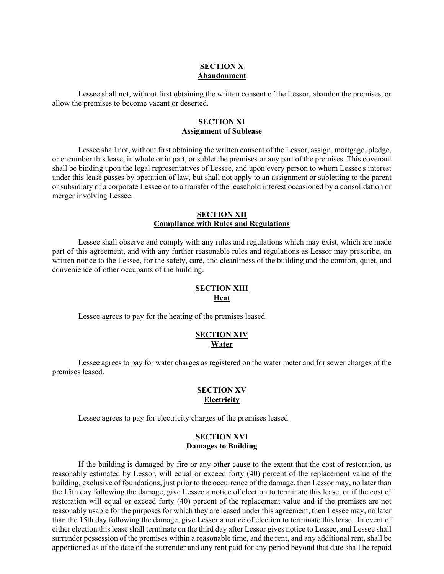# **SECTION X Abandonment**

Lessee shall not, without first obtaining the written consent of the Lessor, abandon the premises, or allow the premises to become vacant or deserted.

### **SECTION XI Assignment of Sublease**

Lessee shall not, without first obtaining the written consent of the Lessor, assign, mortgage, pledge, or encumber this lease, in whole or in part, or sublet the premises or any part of the premises. This covenant shall be binding upon the legal representatives of Lessee, and upon every person to whom Lessee's interest under this lease passes by operation of law, but shall not apply to an assignment or subletting to the parent or subsidiary of a corporate Lessee or to a transfer of the leasehold interest occasioned by a consolidation or merger involving Lessee.

### **SECTION XII Compliance with Rules and Regulations**

Lessee shall observe and comply with any rules and regulations which may exist, which are made part of this agreement, and with any further reasonable rules and regulations as Lessor may prescribe, on written notice to the Lessee, for the safety, care, and cleanliness of the building and the comfort, quiet, and convenience of other occupants of the building.

### **SECTION XIII Heat**

Lessee agrees to pay for the heating of the premises leased.

### **SECTION XIV Water**

Lessee agrees to pay for water charges as registered on the water meter and for sewer charges of the premises leased.

### **SECTION XV Electricity**

Lessee agrees to pay for electricity charges of the premises leased.

# **SECTION XVI Damages to Building**

If the building is damaged by fire or any other cause to the extent that the cost of restoration, as reasonably estimated by Lessor, will equal or exceed forty (40) percent of the replacement value of the building, exclusive of foundations, just prior to the occurrence of the damage, then Lessor may, no later than the 15th day following the damage, give Lessee a notice of election to terminate this lease, or if the cost of restoration will equal or exceed forty (40) percent of the replacement value and if the premises are not reasonably usable for the purposes for which they are leased under this agreement, then Lessee may, no later than the 15th day following the damage, give Lessor a notice of election to terminate this lease. In event of either election this lease shall terminate on the third day after Lessor gives notice to Lessee, and Lessee shall surrender possession of the premises within a reasonable time, and the rent, and any additional rent, shall be apportioned as of the date of the surrender and any rent paid for any period beyond that date shall be repaid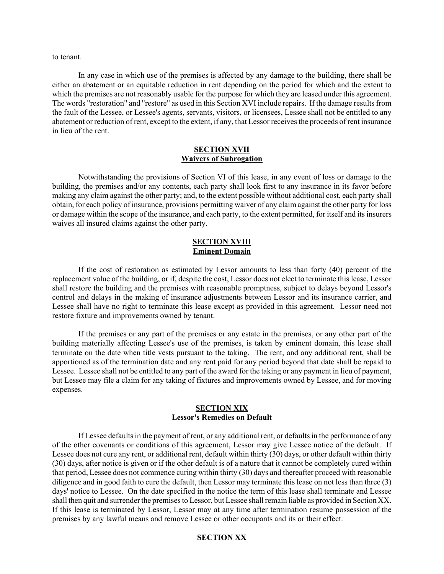to tenant.

In any case in which use of the premises is affected by any damage to the building, there shall be either an abatement or an equitable reduction in rent depending on the period for which and the extent to which the premises are not reasonably usable for the purpose for which they are leased under this agreement. The words "restoration" and "restore" as used in this Section XVI include repairs. If the damage results from the fault of the Lessee, or Lessee's agents, servants, visitors, or licensees, Lessee shall not be entitled to any abatement or reduction of rent, except to the extent, if any, that Lessor receives the proceeds of rent insurance in lieu of the rent.

### **SECTION XVII Waivers of Subrogation**

Notwithstanding the provisions of Section VI of this lease, in any event of loss or damage to the building, the premises and/or any contents, each party shall look first to any insurance in its favor before making any claim against the other party; and, to the extent possible without additional cost, each party shall obtain, for each policy of insurance, provisions permitting waiver of any claim against the other party for loss or damage within the scope of the insurance, and each party, to the extent permitted, for itself and its insurers waives all insured claims against the other party.

### **SECTION XVIII Eminent Domain**

If the cost of restoration as estimated by Lessor amounts to less than forty (40) percent of the replacement value of the building, or if, despite the cost, Lessor does not elect to terminate this lease, Lessor shall restore the building and the premises with reasonable promptness, subject to delays beyond Lessor's control and delays in the making of insurance adjustments between Lessor and its insurance carrier, and Lessee shall have no right to terminate this lease except as provided in this agreement. Lessor need not restore fixture and improvements owned by tenant.

If the premises or any part of the premises or any estate in the premises, or any other part of the building materially affecting Lessee's use of the premises, is taken by eminent domain, this lease shall terminate on the date when title vests pursuant to the taking. The rent, and any additional rent, shall be apportioned as of the termination date and any rent paid for any period beyond that date shall be repaid to Lessee. Lessee shall not be entitled to any part of the award for the taking or any payment in lieu of payment, but Lessee may file a claim for any taking of fixtures and improvements owned by Lessee, and for moving expenses.

# **SECTION XIX Lessor's Remedies on Default**

If Lessee defaults in the payment of rent, or any additional rent, or defaults in the performance of any of the other covenants or conditions of this agreement, Lessor may give Lessee notice of the default. If Lessee does not cure any rent, or additional rent, default within thirty (30) days, or other default within thirty (30) days, after notice is given or if the other default is of a nature that it cannot be completely cured within that period, Lessee does not commence curing within thirty (30) days and thereafter proceed with reasonable diligence and in good faith to cure the default, then Lessor may terminate this lease on not less than three (3) days' notice to Lessee. On the date specified in the notice the term of this lease shall terminate and Lessee shall then quit and surrender the premises to Lessor, but Lessee shall remain liable as provided in Section XX. If this lease is terminated by Lessor, Lessor may at any time after termination resume possession of the premises by any lawful means and remove Lessee or other occupants and its or their effect.

### **SECTION XX**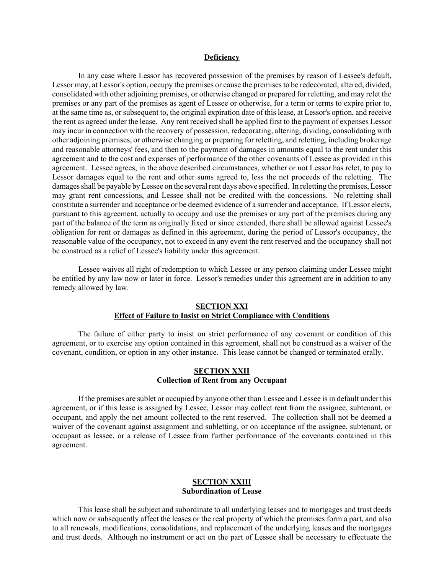#### **Deficiency**

In any case where Lessor has recovered possession of the premises by reason of Lessee's default, Lessor may, at Lessor's option, occupy the premises or cause the premises to be redecorated, altered, divided, consolidated with other adjoining premises, or otherwise changed or prepared for reletting, and may relet the premises or any part of the premises as agent of Lessee or otherwise, for a term or terms to expire prior to, at the same time as, or subsequent to, the original expiration date of this lease, at Lessor's option, and receive the rent as agreed under the lease. Any rent received shall be applied first to the payment of expenses Lessor may incur in connection with the recovery of possession, redecorating, altering, dividing, consolidating with other adjoining premises, or otherwise changing or preparing for reletting, and reletting, including brokerage and reasonable attorneys' fees, and then to the payment of damages in amounts equal to the rent under this agreement and to the cost and expenses of performance of the other covenants of Lessee as provided in this agreement. Lessee agrees, in the above described circumstances, whether or not Lessor has relet, to pay to Lessor damages equal to the rent and other sums agreed to, less the net proceeds of the reletting. The damages shall be payable by Lessee on the several rent days above specified. In reletting the premises, Lessor may grant rent concessions, and Lessee shall not be credited with the concessions. No reletting shall constitute a surrender and acceptance or be deemed evidence of a surrender and acceptance. If Lessor elects, pursuant to this agreement, actually to occupy and use the premises or any part of the premises during any part of the balance of the term as originally fixed or since extended, there shall be allowed against Lessee's obligation for rent or damages as defined in this agreement, during the period of Lessor's occupancy, the reasonable value of the occupancy, not to exceed in any event the rent reserved and the occupancy shall not be construed as a relief of Lessee's liability under this agreement.

Lessee waives all right of redemption to which Lessee or any person claiming under Lessee might be entitled by any law now or later in force. Lessor's remedies under this agreement are in addition to any remedy allowed by law.

# **SECTION XXI Effect of Failure to Insist on Strict Compliance with Conditions**

The failure of either party to insist on strict performance of any covenant or condition of this agreement, or to exercise any option contained in this agreement, shall not be construed as a waiver of the covenant, condition, or option in any other instance. This lease cannot be changed or terminated orally.

# **SECTION XXII Collection of Rent from any Occupant**

If the premises are sublet or occupied by anyone other than Lessee and Lessee is in default under this agreement, or if this lease is assigned by Lessee, Lessor may collect rent from the assignee, subtenant, or occupant, and apply the net amount collected to the rent reserved. The collection shall not be deemed a waiver of the covenant against assignment and subletting, or on acceptance of the assignee, subtenant, or occupant as lessee, or a release of Lessee from further performance of the covenants contained in this agreement.

### **SECTION XXIII Subordination of Lease**

This lease shall be subject and subordinate to all underlying leases and to mortgages and trust deeds which now or subsequently affect the leases or the real property of which the premises form a part, and also to all renewals, modifications, consolidations, and replacement of the underlying leases and the mortgages and trust deeds. Although no instrument or act on the part of Lessee shall be necessary to effectuate the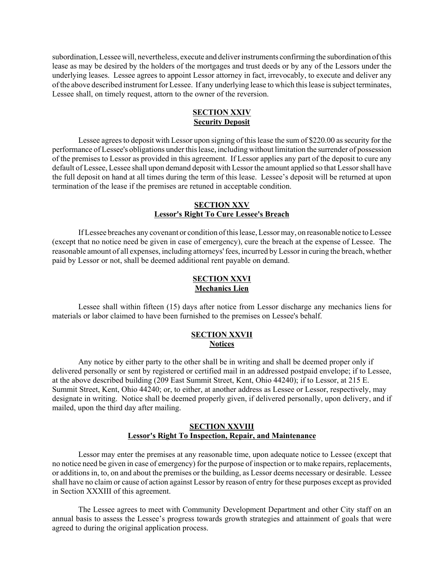subordination, Lessee will, nevertheless, execute and deliver instruments confirming the subordination of this lease as may be desired by the holders of the mortgages and trust deeds or by any of the Lessors under the underlying leases. Lessee agrees to appoint Lessor attorney in fact, irrevocably, to execute and deliver any of the above described instrument for Lessee. If any underlying lease to which this lease is subject terminates, Lessee shall, on timely request, attorn to the owner of the reversion.

# **SECTION XXIV Security Deposit**

Lessee agrees to deposit with Lessor upon signing of this lease the sum of \$220.00 as security for the performance of Lessee's obligations under this lease, including without limitation the surrender of possession of the premises to Lessor as provided in this agreement. If Lessor applies any part of the deposit to cure any default of Lessee, Lessee shall upon demand deposit with Lessor the amount applied so that Lessor shall have the full deposit on hand at all times during the term of this lease. Lessee's deposit will be returned at upon termination of the lease if the premises are retuned in acceptable condition.

### **SECTION XXV Lessor's Right To Cure Lessee's Breach**

If Lessee breaches any covenant or condition of this lease, Lessor may, on reasonable notice to Lessee (except that no notice need be given in case of emergency), cure the breach at the expense of Lessee. The reasonable amount of all expenses, including attorneys' fees, incurred by Lessor in curing the breach, whether paid by Lessor or not, shall be deemed additional rent payable on demand.

# **SECTION XXVI Mechanics Lien**

Lessee shall within fifteen (15) days after notice from Lessor discharge any mechanics liens for materials or labor claimed to have been furnished to the premises on Lessee's behalf.

### **SECTION XXVII Notices**

Any notice by either party to the other shall be in writing and shall be deemed proper only if delivered personally or sent by registered or certified mail in an addressed postpaid envelope; if to Lessee, at the above described building (209 East Summit Street, Kent, Ohio 44240); if to Lessor, at 215 E. Summit Street, Kent, Ohio 44240; or, to either, at another address as Lessee or Lessor, respectively, may designate in writing. Notice shall be deemed properly given, if delivered personally, upon delivery, and if mailed, upon the third day after mailing.

# **SECTION XXVIII Lessor's Right To Inspection, Repair, and Maintenance**

Lessor may enter the premises at any reasonable time, upon adequate notice to Lessee (except that no notice need be given in case of emergency) for the purpose of inspection or to make repairs, replacements, or additions in, to, on and about the premises or the building, as Lessor deems necessary or desirable. Lessee shall have no claim or cause of action against Lessor by reason of entry for these purposes except as provided in Section XXXIII of this agreement.

The Lessee agrees to meet with Community Development Department and other City staff on an annual basis to assess the Lessee's progress towards growth strategies and attainment of goals that were agreed to during the original application process.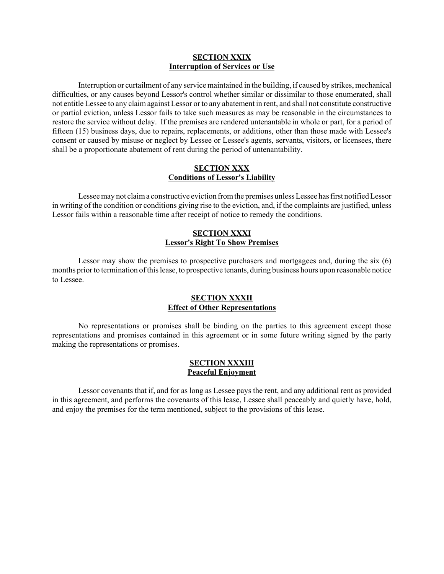### **SECTION XXIX Interruption of Services or Use**

Interruption or curtailment of any service maintained in the building, if caused by strikes, mechanical difficulties, or any causes beyond Lessor's control whether similar or dissimilar to those enumerated, shall not entitle Lessee to any claim against Lessor or to any abatement in rent, and shall not constitute constructive or partial eviction, unless Lessor fails to take such measures as may be reasonable in the circumstances to restore the service without delay. If the premises are rendered untenantable in whole or part, for a period of fifteen (15) business days, due to repairs, replacements, or additions, other than those made with Lessee's consent or caused by misuse or neglect by Lessee or Lessee's agents, servants, visitors, or licensees, there shall be a proportionate abatement of rent during the period of untenantability.

### **SECTION XXX Conditions of Lessor's Liability**

Lessee may not claim a constructive eviction from the premises unless Lessee has first notified Lessor in writing of the condition or conditions giving rise to the eviction, and, if the complaints are justified, unless Lessor fails within a reasonable time after receipt of notice to remedy the conditions.

# **SECTION XXXI Lessor's Right To Show Premises**

Lessor may show the premises to prospective purchasers and mortgagees and, during the six (6) months prior to termination of this lease, to prospective tenants, during business hours upon reasonable notice to Lessee.

## **SECTION XXXII Effect of Other Representations**

No representations or promises shall be binding on the parties to this agreement except those representations and promises contained in this agreement or in some future writing signed by the party making the representations or promises.

# **SECTION XXXIII Peaceful Enjoyment**

Lessor covenants that if, and for as long as Lessee pays the rent, and any additional rent as provided in this agreement, and performs the covenants of this lease, Lessee shall peaceably and quietly have, hold, and enjoy the premises for the term mentioned, subject to the provisions of this lease.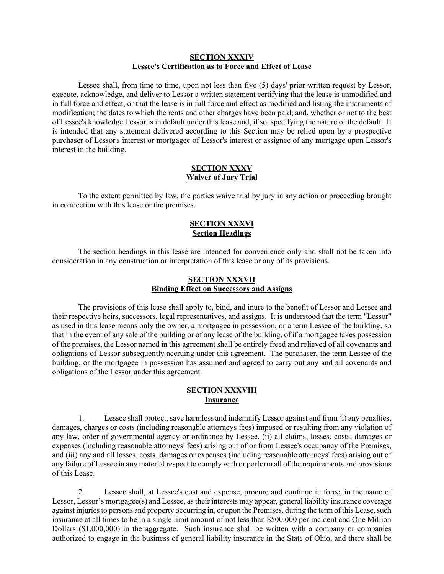# **SECTION XXXIV Lessee's Certification as to Force and Effect of Lease**

Lessee shall, from time to time, upon not less than five (5) days' prior written request by Lessor, execute, acknowledge, and deliver to Lessor a written statement certifying that the lease is unmodified and in full force and effect, or that the lease is in full force and effect as modified and listing the instruments of modification; the dates to which the rents and other charges have been paid; and, whether or not to the best of Lessee's knowledge Lessor is in default under this lease and, if so, specifying the nature of the default. It is intended that any statement delivered according to this Section may be relied upon by a prospective purchaser of Lessor's interest or mortgagee of Lessor's interest or assignee of any mortgage upon Lessor's interest in the building.

### **SECTION XXXV Waiver of Jury Trial**

To the extent permitted by law, the parties waive trial by jury in any action or proceeding brought in connection with this lease or the premises.

# **SECTION XXXVI Section Headings**

The section headings in this lease are intended for convenience only and shall not be taken into consideration in any construction or interpretation of this lease or any of its provisions.

### **SECTION XXXVII Binding Effect on Successors and Assigns**

The provisions of this lease shall apply to, bind, and inure to the benefit of Lessor and Lessee and their respective heirs, successors, legal representatives, and assigns. It is understood that the term "Lessor" as used in this lease means only the owner, a mortgagee in possession, or a term Lessee of the building, so that in the event of any sale of the building or of any lease of the building, of if a mortgagee takes possession of the premises, the Lessor named in this agreement shall be entirely freed and relieved of all covenants and obligations of Lessor subsequently accruing under this agreement. The purchaser, the term Lessee of the building, or the mortgagee in possession has assumed and agreed to carry out any and all covenants and obligations of the Lessor under this agreement.

### **SECTION XXXVIII Insurance**

1. Lessee shall protect, save harmless and indemnify Lessor against and from (i) any penalties, damages, charges or costs (including reasonable attorneys fees) imposed or resulting from any violation of any law, order of governmental agency or ordinance by Lessee, (ii) all claims, losses, costs, damages or expenses (including reasonable attorneys' fees) arising out of or from Lessee's occupancy of the Premises, and (iii) any and all losses, costs, damages or expenses (including reasonable attorneys' fees) arising out of any failure of Lessee in any material respect to comply with or perform all of the requirements and provisions of this Lease.

2. Lessee shall, at Lessee's cost and expense, procure and continue in force, in the name of Lessor, Lessor's mortgagee(s) and Lessee, as their interests may appear, general liability insurance coverage against injuries to persons and property occurring in**,** or upon the Premises, during the term of this Lease, such insurance at all times to be in a single limit amount of not less than \$500,000 per incident and One Million Dollars (\$1,000,000) in the aggregate. Such insurance shall be written with a company or companies authorized to engage in the business of general liability insurance in the State of Ohio, and there shall be